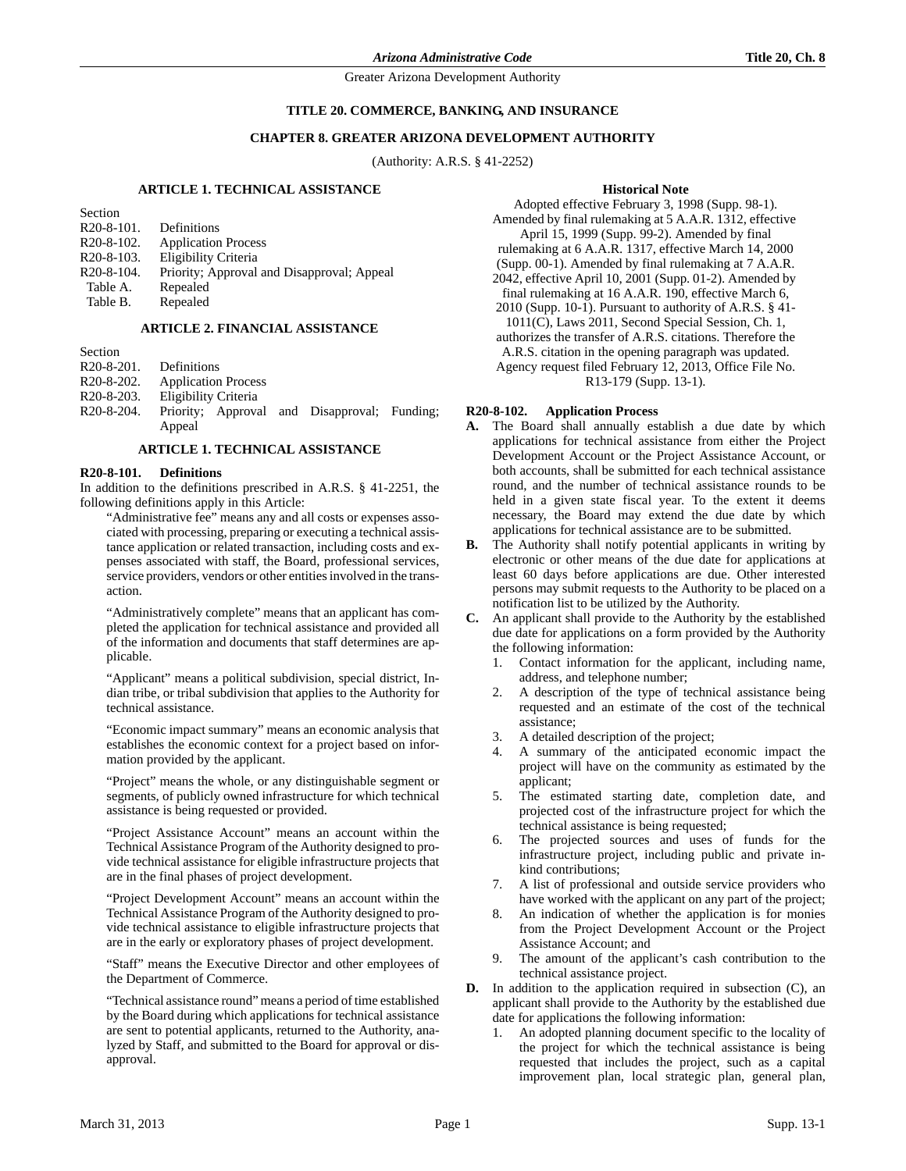## **TITLE 20. COMMERCE, BANKING, AND INSURANCE**

## **CHAPTER 8. GREATER ARIZONA DEVELOPMENT AUTHORITY**

(Authority: A.R.S. § 41-2252)

# **ARTICLE 1. TECHNICAL ASSISTANCE**

| Section                              |                                            |
|--------------------------------------|--------------------------------------------|
| $R20-8-101$ .                        | Definitions                                |
| R <sub>20</sub> -8-10 <sub>2</sub> . | <b>Application Process</b>                 |
| $R20-8-103.$                         | Eligibility Criteria                       |
| R <sub>20</sub> -8-104.              | Priority; Approval and Disapproval; Appeal |
| Table A.                             | Repealed                                   |
| Table B.                             | Repealed                                   |

### **ARTICLE 2. FINANCIAL ASSISTANCE**

Section R20-8-201. Definitions R20-8-202. Application Process R20-8-203. Eligibility Criteria R20-8-204. Priority; Approval and Disapproval; Funding; Appeal

## **ARTICLE 1. TECHNICAL ASSISTANCE**

## **R20-8-101. Definitions**

In addition to the definitions prescribed in A.R.S. § 41-2251, the following definitions apply in this Article:

"Administrative fee" means any and all costs or expenses associated with processing, preparing or executing a technical assistance application or related transaction, including costs and expenses associated with staff, the Board, professional services, service providers, vendors or other entities involved in the transaction.

"Administratively complete" means that an applicant has completed the application for technical assistance and provided all of the information and documents that staff determines are applicable.

"Applicant" means a political subdivision, special district, Indian tribe, or tribal subdivision that applies to the Authority for technical assistance.

"Economic impact summary" means an economic analysis that establishes the economic context for a project based on information provided by the applicant.

"Project" means the whole, or any distinguishable segment or segments, of publicly owned infrastructure for which technical assistance is being requested or provided.

"Project Assistance Account" means an account within the Technical Assistance Program of the Authority designed to provide technical assistance for eligible infrastructure projects that are in the final phases of project development.

"Project Development Account" means an account within the Technical Assistance Program of the Authority designed to provide technical assistance to eligible infrastructure projects that are in the early or exploratory phases of project development.

"Staff" means the Executive Director and other employees of the Department of Commerce.

"Technical assistance round" means a period of time established by the Board during which applications for technical assistance are sent to potential applicants, returned to the Authority, analyzed by Staff, and submitted to the Board for approval or disapproval.

#### **Historical Note**

Adopted effective February 3, 1998 (Supp. 98-1). Amended by final rulemaking at 5 A.A.R. 1312, effective April 15, 1999 (Supp. 99-2). Amended by final rulemaking at 6 A.A.R. 1317, effective March 14, 2000 (Supp. 00-1). Amended by final rulemaking at 7 A.A.R. 2042, effective April 10, 2001 (Supp. 01-2). Amended by final rulemaking at 16 A.A.R. 190, effective March 6, 2010 (Supp. 10-1). Pursuant to authority of A.R.S. § 41- 1011(C), Laws 2011, Second Special Session, Ch. 1, authorizes the transfer of A.R.S. citations. Therefore the A.R.S. citation in the opening paragraph was updated. Agency request filed February 12, 2013, Office File No. R13-179 (Supp. 13-1).

#### **R20-8-102. Application Process**

- **A.** The Board shall annually establish a due date by which applications for technical assistance from either the Project Development Account or the Project Assistance Account, or both accounts, shall be submitted for each technical assistance round, and the number of technical assistance rounds to be held in a given state fiscal year. To the extent it deems necessary, the Board may extend the due date by which applications for technical assistance are to be submitted.
- **B.** The Authority shall notify potential applicants in writing by electronic or other means of the due date for applications at least 60 days before applications are due. Other interested persons may submit requests to the Authority to be placed on a notification list to be utilized by the Authority.
- **C.** An applicant shall provide to the Authority by the established due date for applications on a form provided by the Authority the following information:
	- 1. Contact information for the applicant, including name, address, and telephone number;
	- 2. A description of the type of technical assistance being requested and an estimate of the cost of the technical assistance;
	- 3. A detailed description of the project;
	- 4. A summary of the anticipated economic impact the project will have on the community as estimated by the applicant;
	- 5. The estimated starting date, completion date, and projected cost of the infrastructure project for which the technical assistance is being requested;
	- 6. The projected sources and uses of funds for the infrastructure project, including public and private inkind contributions;
	- 7. A list of professional and outside service providers who have worked with the applicant on any part of the project;
	- 8. An indication of whether the application is for monies from the Project Development Account or the Project Assistance Account; and
	- 9. The amount of the applicant's cash contribution to the technical assistance project.
- **D.** In addition to the application required in subsection (C), an applicant shall provide to the Authority by the established due date for applications the following information:
	- 1. An adopted planning document specific to the locality of the project for which the technical assistance is being requested that includes the project, such as a capital improvement plan, local strategic plan, general plan,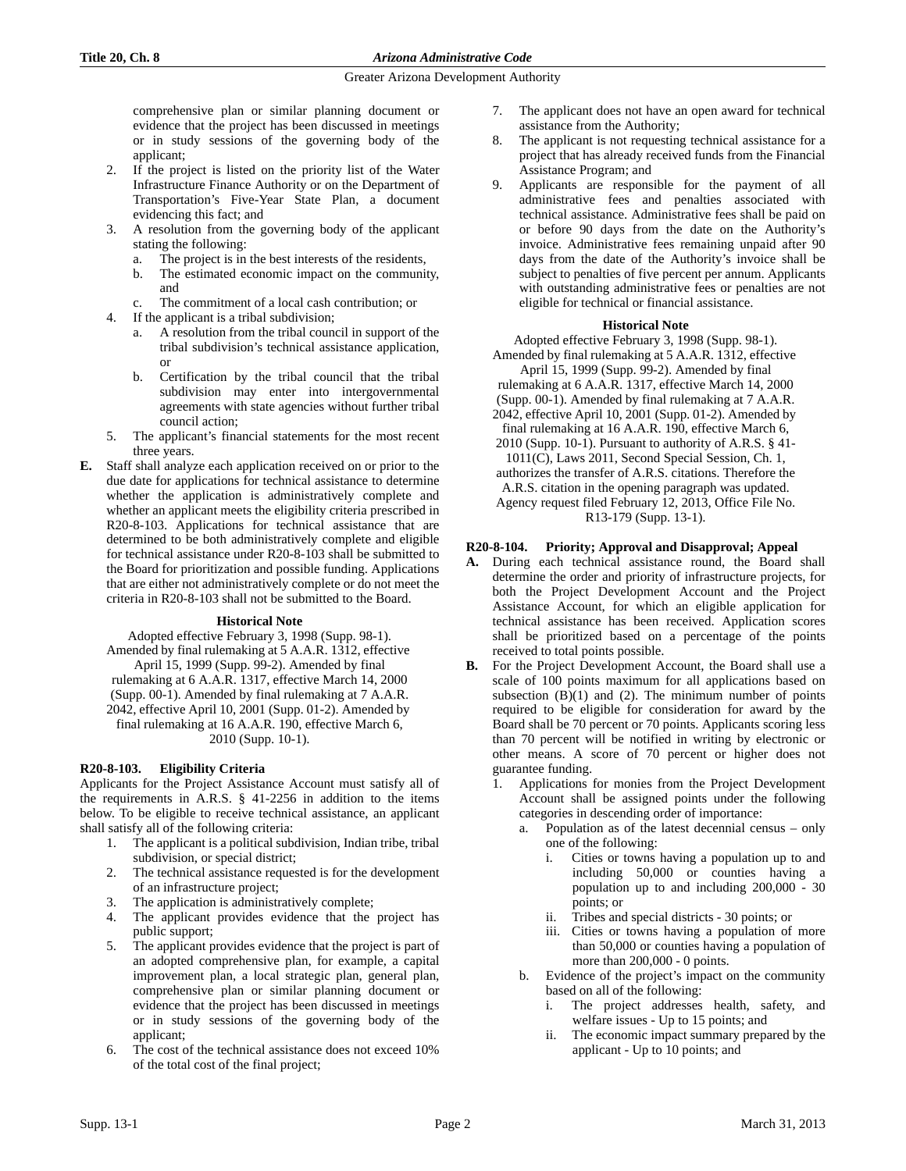comprehensive plan or similar planning document or evidence that the project has been discussed in meetings or in study sessions of the governing body of the applicant;

- 2. If the project is listed on the priority list of the Water Infrastructure Finance Authority or on the Department of Transportation's Five-Year State Plan, a document evidencing this fact; and
- 3. A resolution from the governing body of the applicant stating the following:
	- a. The project is in the best interests of the residents,
	- b. The estimated economic impact on the community, and
	- c. The commitment of a local cash contribution; or
- 4. If the applicant is a tribal subdivision;
	- a. A resolution from the tribal council in support of the tribal subdivision's technical assistance application, or
	- b. Certification by the tribal council that the tribal subdivision may enter into intergovernmental agreements with state agencies without further tribal council action;
- 5. The applicant's financial statements for the most recent three years.
- **E.** Staff shall analyze each application received on or prior to the due date for applications for technical assistance to determine whether the application is administratively complete and whether an applicant meets the eligibility criteria prescribed in R20-8-103. Applications for technical assistance that are determined to be both administratively complete and eligible for technical assistance under R20-8-103 shall be submitted to the Board for prioritization and possible funding. Applications that are either not administratively complete or do not meet the criteria in R20-8-103 shall not be submitted to the Board.

# **Historical Note**

Adopted effective February 3, 1998 (Supp. 98-1). Amended by final rulemaking at 5 A.A.R. 1312, effective April 15, 1999 (Supp. 99-2). Amended by final rulemaking at 6 A.A.R. 1317, effective March 14, 2000 (Supp. 00-1). Amended by final rulemaking at 7 A.A.R. 2042, effective April 10, 2001 (Supp. 01-2). Amended by final rulemaking at 16 A.A.R. 190, effective March 6, 2010 (Supp. 10-1).

# **R20-8-103. Eligibility Criteria**

Applicants for the Project Assistance Account must satisfy all of the requirements in A.R.S. § 41-2256 in addition to the items below. To be eligible to receive technical assistance, an applicant shall satisfy all of the following criteria:

- 1. The applicant is a political subdivision, Indian tribe, tribal subdivision, or special district;
- 2. The technical assistance requested is for the development of an infrastructure project;
- 3. The application is administratively complete;
- 4. The applicant provides evidence that the project has public support;
- 5. The applicant provides evidence that the project is part of an adopted comprehensive plan, for example, a capital improvement plan, a local strategic plan, general plan, comprehensive plan or similar planning document or evidence that the project has been discussed in meetings or in study sessions of the governing body of the applicant;
- 6. The cost of the technical assistance does not exceed 10% of the total cost of the final project;
- 7. The applicant does not have an open award for technical assistance from the Authority;
- 8. The applicant is not requesting technical assistance for a project that has already received funds from the Financial Assistance Program; and
- 9. Applicants are responsible for the payment of all administrative fees and penalties associated with technical assistance. Administrative fees shall be paid on or before 90 days from the date on the Authority's invoice. Administrative fees remaining unpaid after 90 days from the date of the Authority's invoice shall be subject to penalties of five percent per annum. Applicants with outstanding administrative fees or penalties are not eligible for technical or financial assistance.

# **Historical Note**

Adopted effective February 3, 1998 (Supp. 98-1). Amended by final rulemaking at 5 A.A.R. 1312, effective

April 15, 1999 (Supp. 99-2). Amended by final rulemaking at 6 A.A.R. 1317, effective March 14, 2000 (Supp. 00-1). Amended by final rulemaking at 7 A.A.R. 2042, effective April 10, 2001 (Supp. 01-2). Amended by final rulemaking at 16 A.A.R. 190, effective March 6, 2010 (Supp. 10-1). Pursuant to authority of A.R.S. § 41- 1011(C), Laws 2011, Second Special Session, Ch. 1, authorizes the transfer of A.R.S. citations. Therefore the

A.R.S. citation in the opening paragraph was updated. Agency request filed February 12, 2013, Office File No. R13-179 (Supp. 13-1).

# **R20-8-104. Priority; Approval and Disapproval; Appeal**

- **A.** During each technical assistance round, the Board shall determine the order and priority of infrastructure projects, for both the Project Development Account and the Project Assistance Account, for which an eligible application for technical assistance has been received. Application scores shall be prioritized based on a percentage of the points received to total points possible.
- **B.** For the Project Development Account, the Board shall use a scale of 100 points maximum for all applications based on subsection  $(B)(1)$  and  $(2)$ . The minimum number of points required to be eligible for consideration for award by the Board shall be 70 percent or 70 points. Applicants scoring less than 70 percent will be notified in writing by electronic or other means. A score of 70 percent or higher does not guarantee funding.
	- 1. Applications for monies from the Project Development Account shall be assigned points under the following categories in descending order of importance:
		- a. Population as of the latest decennial census only one of the following:
			- i. Cities or towns having a population up to and including 50,000 or counties having a population up to and including 200,000 - 30 points; or
			- ii. Tribes and special districts 30 points; or
			- iii. Cities or towns having a population of more than 50,000 or counties having a population of more than 200,000 - 0 points.
		- b. Evidence of the project's impact on the community based on all of the following:
			- The project addresses health, safety, and welfare issues - Up to 15 points; and
			- ii. The economic impact summary prepared by the applicant - Up to 10 points; and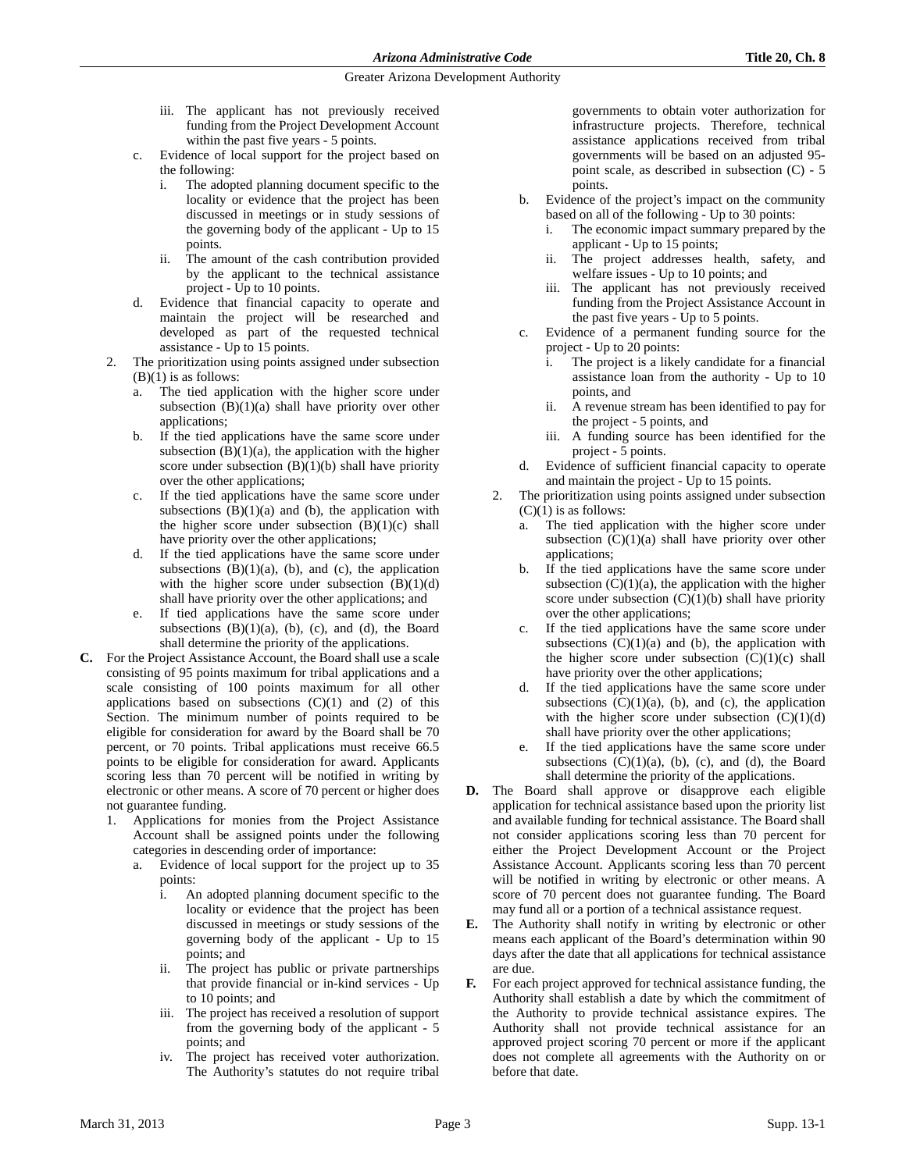- iii. The applicant has not previously received funding from the Project Development Account within the past five years - 5 points.
- c. Evidence of local support for the project based on the following:
	- i. The adopted planning document specific to the locality or evidence that the project has been discussed in meetings or in study sessions of the governing body of the applicant - Up to 15 points.
	- ii. The amount of the cash contribution provided by the applicant to the technical assistance project - Up to 10 points.
- d. Evidence that financial capacity to operate and maintain the project will be researched and developed as part of the requested technical assistance - Up to 15 points.
- 2. The prioritization using points assigned under subsection  $(B)(1)$  is as follows:
	- a. The tied application with the higher score under subsection (B)(1)(a) shall have priority over other applications;
	- b. If the tied applications have the same score under subsection  $(B)(1)(a)$ , the application with the higher score under subsection  $(B)(1)(b)$  shall have priority over the other applications;
	- c. If the tied applications have the same score under subsections  $(B)(1)(a)$  and  $(b)$ , the application with the higher score under subsection  $(B)(1)(c)$  shall have priority over the other applications;
	- d. If the tied applications have the same score under subsections  $(B)(1)(a)$ ,  $(b)$ , and  $(c)$ , the application with the higher score under subsection  $(B)(1)(d)$ shall have priority over the other applications; and
	- e. If tied applications have the same score under subsections  $(B)(1)(a)$ ,  $(b)$ ,  $(c)$ , and  $(d)$ , the Board shall determine the priority of the applications.
- **C.** For the Project Assistance Account, the Board shall use a scale consisting of 95 points maximum for tribal applications and a scale consisting of 100 points maximum for all other applications based on subsections  $(C)(1)$  and  $(2)$  of this Section. The minimum number of points required to be eligible for consideration for award by the Board shall be 70 percent, or 70 points. Tribal applications must receive 66.5 points to be eligible for consideration for award. Applicants scoring less than 70 percent will be notified in writing by electronic or other means. A score of 70 percent or higher does not guarantee funding.
	- 1. Applications for monies from the Project Assistance Account shall be assigned points under the following categories in descending order of importance:
		- a. Evidence of local support for the project up to 35 points:
			- i. An adopted planning document specific to the locality or evidence that the project has been discussed in meetings or study sessions of the governing body of the applicant - Up to 15 points; and
			- ii. The project has public or private partnerships that provide financial or in-kind services - Up to 10 points; and
			- iii. The project has received a resolution of support from the governing body of the applicant - 5 points; and
			- iv. The project has received voter authorization. The Authority's statutes do not require tribal

governments to obtain voter authorization for infrastructure projects. Therefore, technical assistance applications received from tribal governments will be based on an adjusted 95 point scale, as described in subsection (C) - 5 points.

- b. Evidence of the project's impact on the community based on all of the following - Up to 30 points:
	- The economic impact summary prepared by the applicant - Up to 15 points;
	- ii. The project addresses health, safety, and welfare issues - Up to 10 points; and
	- iii. The applicant has not previously received funding from the Project Assistance Account in the past five years - Up to 5 points.
- c. Evidence of a permanent funding source for the project - Up to 20 points:
	- i. The project is a likely candidate for a financial assistance loan from the authority - Up to 10 points, and
	- ii. A revenue stream has been identified to pay for the project - 5 points, and
	- iii. A funding source has been identified for the project - 5 points.
- d. Evidence of sufficient financial capacity to operate and maintain the project - Up to 15 points.
- The prioritization using points assigned under subsection  $(C)(1)$  is as follows:
	- a. The tied application with the higher score under subsection  $(C)(1)(a)$  shall have priority over other applications;
	- b. If the tied applications have the same score under subsection  $(C)(1)(a)$ , the application with the higher score under subsection  $(C)(1)(b)$  shall have priority over the other applications;
	- c. If the tied applications have the same score under subsections  $(C)(1)(a)$  and  $(b)$ , the application with the higher score under subsection  $(C)(1)(c)$  shall have priority over the other applications;
	- d. If the tied applications have the same score under subsections  $(C)(1)(a)$ ,  $(b)$ , and  $(c)$ , the application with the higher score under subsection  $(C)(1)(d)$ shall have priority over the other applications;
	- e. If the tied applications have the same score under subsections  $(C)(1)(a)$ ,  $(b)$ ,  $(c)$ , and  $(d)$ , the Board shall determine the priority of the applications.
- **D.** The Board shall approve or disapprove each eligible application for technical assistance based upon the priority list and available funding for technical assistance. The Board shall not consider applications scoring less than 70 percent for either the Project Development Account or the Project Assistance Account. Applicants scoring less than 70 percent will be notified in writing by electronic or other means. A score of 70 percent does not guarantee funding. The Board may fund all or a portion of a technical assistance request.
- **E.** The Authority shall notify in writing by electronic or other means each applicant of the Board's determination within 90 days after the date that all applications for technical assistance are due.
- **F.** For each project approved for technical assistance funding, the Authority shall establish a date by which the commitment of the Authority to provide technical assistance expires. The Authority shall not provide technical assistance for an approved project scoring 70 percent or more if the applicant does not complete all agreements with the Authority on or before that date.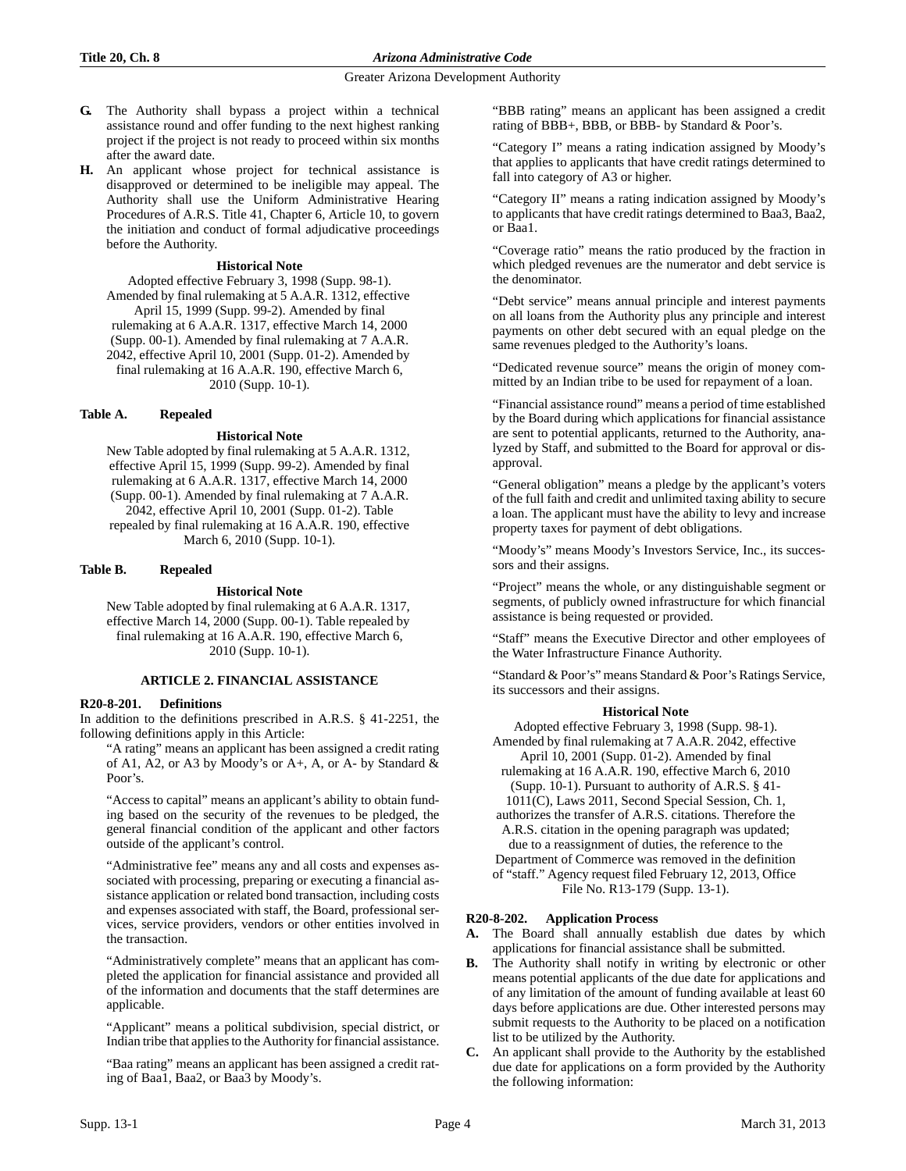- **G.** The Authority shall bypass a project within a technical assistance round and offer funding to the next highest ranking project if the project is not ready to proceed within six months after the award date.
- **H.** An applicant whose project for technical assistance is disapproved or determined to be ineligible may appeal. The Authority shall use the Uniform Administrative Hearing Procedures of A.R.S. Title 41, Chapter 6, Article 10, to govern the initiation and conduct of formal adjudicative proceedings before the Authority.

## **Historical Note**

Adopted effective February 3, 1998 (Supp. 98-1). Amended by final rulemaking at 5 A.A.R. 1312, effective April 15, 1999 (Supp. 99-2). Amended by final rulemaking at 6 A.A.R. 1317, effective March 14, 2000 (Supp. 00-1). Amended by final rulemaking at 7 A.A.R. 2042, effective April 10, 2001 (Supp. 01-2). Amended by final rulemaking at 16 A.A.R. 190, effective March 6, 2010 (Supp. 10-1).

# **Table A. Repealed**

## **Historical Note**

New Table adopted by final rulemaking at 5 A.A.R. 1312, effective April 15, 1999 (Supp. 99-2). Amended by final rulemaking at 6 A.A.R. 1317, effective March 14, 2000 (Supp. 00-1). Amended by final rulemaking at 7 A.A.R. 2042, effective April 10, 2001 (Supp. 01-2). Table repealed by final rulemaking at 16 A.A.R. 190, effective March 6, 2010 (Supp. 10-1).

# **Table B. Repealed**

# **Historical Note**

New Table adopted by final rulemaking at 6 A.A.R. 1317, effective March 14, 2000 (Supp. 00-1). Table repealed by final rulemaking at 16 A.A.R. 190, effective March 6, 2010 (Supp. 10-1).

# **ARTICLE 2. FINANCIAL ASSISTANCE**

# **R20-8-201. Definitions**

In addition to the definitions prescribed in A.R.S. § 41-2251, the following definitions apply in this Article:

"A rating" means an applicant has been assigned a credit rating of A1, A2, or A3 by Moody's or A+, A, or A- by Standard & Poor's.

"Access to capital" means an applicant's ability to obtain funding based on the security of the revenues to be pledged, the general financial condition of the applicant and other factors outside of the applicant's control.

"Administrative fee" means any and all costs and expenses associated with processing, preparing or executing a financial assistance application or related bond transaction, including costs and expenses associated with staff, the Board, professional services, service providers, vendors or other entities involved in the transaction.

"Administratively complete" means that an applicant has completed the application for financial assistance and provided all of the information and documents that the staff determines are applicable.

"Applicant" means a political subdivision, special district, or Indian tribe that applies to the Authority for financial assistance.

"Baa rating" means an applicant has been assigned a credit rating of Baa1, Baa2, or Baa3 by Moody's.

"BBB rating" means an applicant has been assigned a credit rating of BBB+, BBB, or BBB- by Standard & Poor's.

"Category I" means a rating indication assigned by Moody's that applies to applicants that have credit ratings determined to fall into category of A3 or higher.

"Category II" means a rating indication assigned by Moody's to applicants that have credit ratings determined to Baa3, Baa2, or Baa1.

"Coverage ratio" means the ratio produced by the fraction in which pledged revenues are the numerator and debt service is the denominator.

"Debt service" means annual principle and interest payments on all loans from the Authority plus any principle and interest payments on other debt secured with an equal pledge on the same revenues pledged to the Authority's loans.

"Dedicated revenue source" means the origin of money committed by an Indian tribe to be used for repayment of a loan.

"Financial assistance round" means a period of time established by the Board during which applications for financial assistance are sent to potential applicants, returned to the Authority, analyzed by Staff, and submitted to the Board for approval or disapproval.

"General obligation" means a pledge by the applicant's voters of the full faith and credit and unlimited taxing ability to secure a loan. The applicant must have the ability to levy and increase property taxes for payment of debt obligations.

"Moody's" means Moody's Investors Service, Inc., its successors and their assigns.

"Project" means the whole, or any distinguishable segment or segments, of publicly owned infrastructure for which financial assistance is being requested or provided.

"Staff" means the Executive Director and other employees of the Water Infrastructure Finance Authority.

"Standard & Poor's" means Standard & Poor's Ratings Service, its successors and their assigns.

### **Historical Note**

Adopted effective February 3, 1998 (Supp. 98-1). Amended by final rulemaking at 7 A.A.R. 2042, effective April 10, 2001 (Supp. 01-2). Amended by final rulemaking at 16 A.A.R. 190, effective March 6, 2010 (Supp. 10-1). Pursuant to authority of A.R.S. § 41- 1011(C), Laws 2011, Second Special Session, Ch. 1, authorizes the transfer of A.R.S. citations. Therefore the A.R.S. citation in the opening paragraph was updated; due to a reassignment of duties, the reference to the Department of Commerce was removed in the definition of "staff." Agency request filed February 12, 2013, Office

File No. R13-179 (Supp. 13-1).

# **R20-8-202. Application Process**

**A.** The Board shall annually establish due dates by which applications for financial assistance shall be submitted.

- The Authority shall notify in writing by electronic or other means potential applicants of the due date for applications and of any limitation of the amount of funding available at least 60 days before applications are due. Other interested persons may submit requests to the Authority to be placed on a notification list to be utilized by the Authority.
- **C.** An applicant shall provide to the Authority by the established due date for applications on a form provided by the Authority the following information: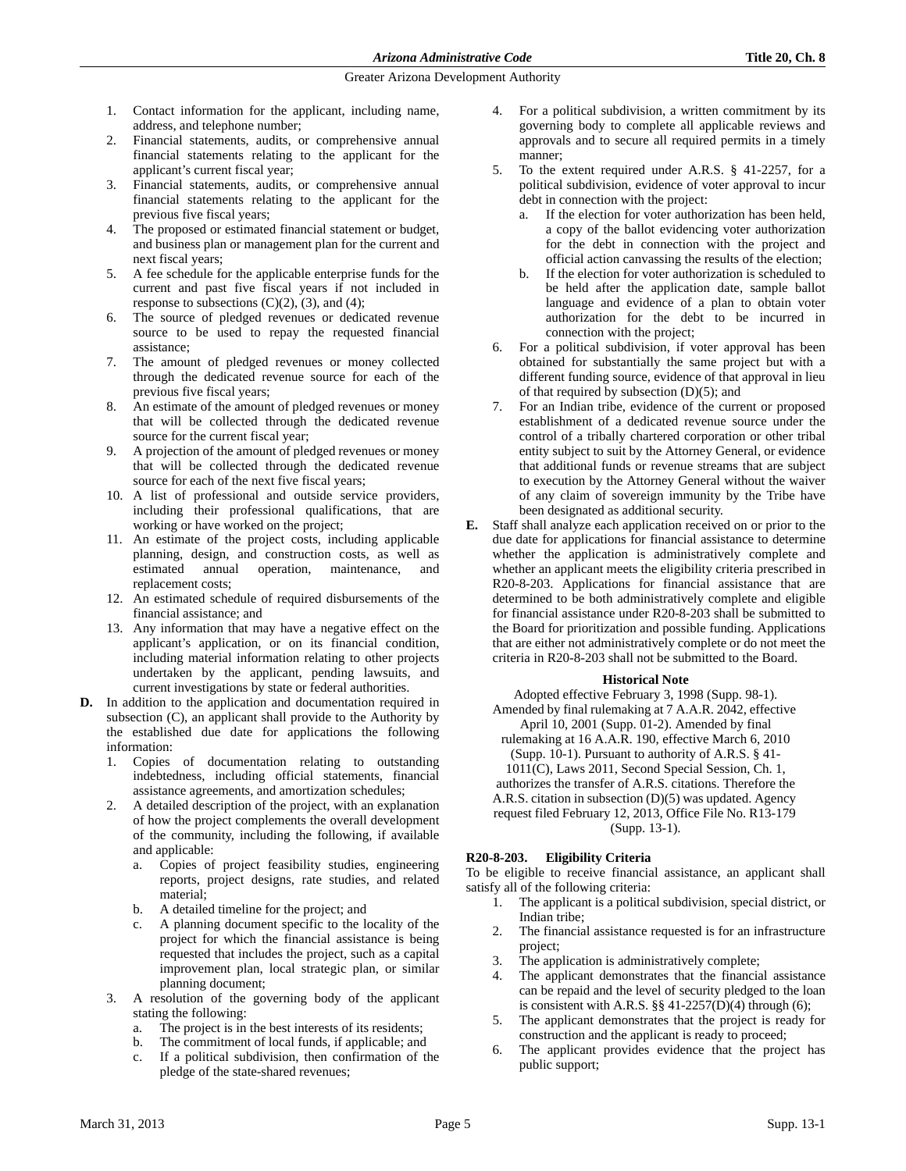- 1. Contact information for the applicant, including name, address, and telephone number;
- 2. Financial statements, audits, or comprehensive annual financial statements relating to the applicant for the applicant's current fiscal year;
- 3. Financial statements, audits, or comprehensive annual financial statements relating to the applicant for the previous five fiscal years;
- 4. The proposed or estimated financial statement or budget, and business plan or management plan for the current and next fiscal years;
- 5. A fee schedule for the applicable enterprise funds for the current and past five fiscal years if not included in response to subsections  $(C)(2)$ ,  $(3)$ , and  $(4)$ ;
- 6. The source of pledged revenues or dedicated revenue source to be used to repay the requested financial assistance;
- 7. The amount of pledged revenues or money collected through the dedicated revenue source for each of the previous five fiscal years;
- 8. An estimate of the amount of pledged revenues or money that will be collected through the dedicated revenue source for the current fiscal year;
- 9. A projection of the amount of pledged revenues or money that will be collected through the dedicated revenue source for each of the next five fiscal years;
- 10. A list of professional and outside service providers, including their professional qualifications, that are working or have worked on the project;
- 11. An estimate of the project costs, including applicable planning, design, and construction costs, as well as estimated annual operation, maintenance, and replacement costs;
- 12. An estimated schedule of required disbursements of the financial assistance; and
- 13. Any information that may have a negative effect on the applicant's application, or on its financial condition, including material information relating to other projects undertaken by the applicant, pending lawsuits, and current investigations by state or federal authorities.
- **D.** In addition to the application and documentation required in subsection (C), an applicant shall provide to the Authority by the established due date for applications the following information:
	- 1. Copies of documentation relating to outstanding indebtedness, including official statements, financial assistance agreements, and amortization schedules;
	- 2. A detailed description of the project, with an explanation of how the project complements the overall development of the community, including the following, if available and applicable:
		- a. Copies of project feasibility studies, engineering reports, project designs, rate studies, and related material;
		- b. A detailed timeline for the project; and
		- c. A planning document specific to the locality of the project for which the financial assistance is being requested that includes the project, such as a capital improvement plan, local strategic plan, or similar planning document;
	- 3. A resolution of the governing body of the applicant stating the following:
		- a. The project is in the best interests of its residents;
		- b. The commitment of local funds, if applicable; and
		- c. If a political subdivision, then confirmation of the pledge of the state-shared revenues;
- 4. For a political subdivision, a written commitment by its governing body to complete all applicable reviews and approvals and to secure all required permits in a timely manner;
- 5. To the extent required under A.R.S. § 41-2257, for a political subdivision, evidence of voter approval to incur debt in connection with the project:
	- a. If the election for voter authorization has been held, a copy of the ballot evidencing voter authorization for the debt in connection with the project and official action canvassing the results of the election;
	- b. If the election for voter authorization is scheduled to be held after the application date, sample ballot language and evidence of a plan to obtain voter authorization for the debt to be incurred in connection with the project;
- 6. For a political subdivision, if voter approval has been obtained for substantially the same project but with a different funding source, evidence of that approval in lieu of that required by subsection  $(D)(5)$ ; and
- 7. For an Indian tribe, evidence of the current or proposed establishment of a dedicated revenue source under the control of a tribally chartered corporation or other tribal entity subject to suit by the Attorney General, or evidence that additional funds or revenue streams that are subject to execution by the Attorney General without the waiver of any claim of sovereign immunity by the Tribe have been designated as additional security.
- **E.** Staff shall analyze each application received on or prior to the due date for applications for financial assistance to determine whether the application is administratively complete and whether an applicant meets the eligibility criteria prescribed in R20-8-203. Applications for financial assistance that are determined to be both administratively complete and eligible for financial assistance under R20-8-203 shall be submitted to the Board for prioritization and possible funding. Applications that are either not administratively complete or do not meet the criteria in R20-8-203 shall not be submitted to the Board.

# **Historical Note**

Adopted effective February 3, 1998 (Supp. 98-1). Amended by final rulemaking at 7 A.A.R. 2042, effective April 10, 2001 (Supp. 01-2). Amended by final rulemaking at 16 A.A.R. 190, effective March 6, 2010 (Supp. 10-1). Pursuant to authority of A.R.S. § 41- 1011(C), Laws 2011, Second Special Session, Ch. 1, authorizes the transfer of A.R.S. citations. Therefore the A.R.S. citation in subsection (D)(5) was updated. Agency request filed February 12, 2013, Office File No. R13-179 (Supp. 13-1).

# **R20-8-203. Eligibility Criteria**

To be eligible to receive financial assistance, an applicant shall satisfy all of the following criteria:

- 1. The applicant is a political subdivision, special district, or Indian tribe;
- 2. The financial assistance requested is for an infrastructure project;
- 3. The application is administratively complete;
- The applicant demonstrates that the financial assistance can be repaid and the level of security pledged to the loan is consistent with A.R.S.  $\S\S 41-2257(D)(4)$  through (6);
- 5. The applicant demonstrates that the project is ready for construction and the applicant is ready to proceed;
- 6. The applicant provides evidence that the project has public support;